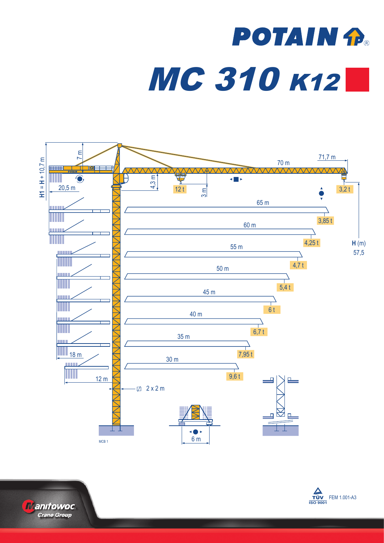## **POTAIN P.** MC 310 K12





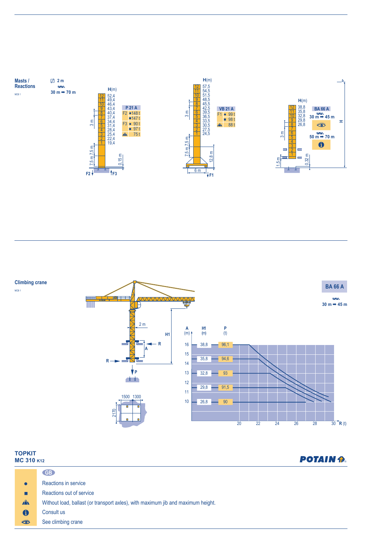

**Climbing crane**

MCB 1



| <b>TOPKIT</b><br>MC 310 K12 |                                                                                  | <b>POTAIN P.</b> |
|-----------------------------|----------------------------------------------------------------------------------|------------------|
|                             | GB                                                                               |                  |
| $\bullet$                   | Reactions in service                                                             |                  |
| п                           | Reactions out of service                                                         |                  |
| $\mathbf{A}$                | Without load, ballast (or transport axles), with maximum jib and maximum height. |                  |
| $\mathbf 0$                 | Consult us                                                                       |                  |
| ₩                           | See climbing crane                                                               |                  |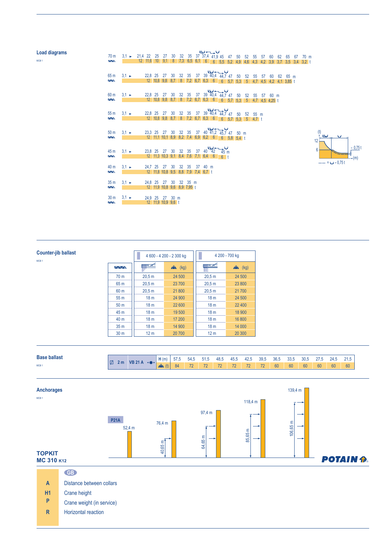| <b>Load diagrams</b> |                                                    |                   |                                                                                  |  |  |  |  | الملوا حسيب اديا                                                               |  |  |  |  |         |  |  |
|----------------------|----------------------------------------------------|-------------------|----------------------------------------------------------------------------------|--|--|--|--|--------------------------------------------------------------------------------|--|--|--|--|---------|--|--|
| MCB <sub>1</sub>     | 70 <sub>m</sub><br>$\overline{\triangle\triangle}$ |                   | $3,1$ > $21,4$ 22 25 27 30 32 35 37 37,4 41,9 45 47 50 52 55 57 60 62 65 67 70 m |  |  |  |  | 12 11,6 10 9,1 8 7,3 6,5 6,1 6 6 5,5 5,2 4,9 4,6 4,3 4,2 3,9 3,7 3,5 3,4 3,2 t |  |  |  |  |         |  |  |
|                      |                                                    |                   |                                                                                  |  |  |  |  |                                                                                |  |  |  |  |         |  |  |
|                      | 65 m                                               | $3.1 \rightarrow$ |                                                                                  |  |  |  |  | 22,8 25 27 30 32 35 37 39 40,4 44,7 47 50 52 55 57 60                          |  |  |  |  | 62 65 m |  |  |
|                      | $\sqrt{N}$                                         |                   |                                                                                  |  |  |  |  | 12 10,8 9,8 8,7 8 7,2 6,7 6,3 6 6 6 5,7 5,3 5 4,7 4,5 4,2 4,1 3,85 t           |  |  |  |  |         |  |  |
|                      |                                                    |                   |                                                                                  |  |  |  |  | 22,8 25 27 30 32 35 37 39 40,4 44,7 47 50 52 55 57 60 m                        |  |  |  |  |         |  |  |
|                      | 60 <sub>m</sub><br>$\sqrt{N}$                      | $3.1 \rightarrow$ |                                                                                  |  |  |  |  | 12 10,8 9,8 8,7 8 7,2 6,7 6,3 6 6 5.7 5.3 5 4.7 4.5 4.25 t                     |  |  |  |  |         |  |  |
|                      |                                                    |                   |                                                                                  |  |  |  |  |                                                                                |  |  |  |  |         |  |  |
|                      |                                                    |                   |                                                                                  |  |  |  |  | 22,8 25 27 30 32 35 37 39 40,4 44,7 47 50 52 55 m                              |  |  |  |  |         |  |  |
|                      | 55 <sub>m</sub><br>$\sqrt{N}$                      | $3.1 \rightarrow$ |                                                                                  |  |  |  |  |                                                                                |  |  |  |  |         |  |  |
|                      |                                                    |                   |                                                                                  |  |  |  |  | 12 10,8 9,8 8,7 8 7,2 6,7 6,3 6 6 5,7 5,3 5 4,7 t                              |  |  |  |  |         |  |  |
|                      |                                                    |                   |                                                                                  |  |  |  |  |                                                                                |  |  |  |  |         |  |  |
|                      | 50 <sub>m</sub>                                    | $3.1 \rightarrow$ |                                                                                  |  |  |  |  | 23,3 25 27 30 32 35 37 40 41,2 45,7 47 50 m                                    |  |  |  |  |         |  |  |
|                      | $\sqrt{N}$                                         |                   |                                                                                  |  |  |  |  | 12 11,1 10,1 8,9 8,2 7,4 6,9 6,2 6 6 5,8 5,4 t                                 |  |  |  |  |         |  |  |

MCB<sub>1</sub>



| <b>Counter-jib ballast</b><br>MCB <sub>1</sub> |                 |                 | 4 600 - 4 200 - 2 300 kg |                 | 4 200 - 700 kg |
|------------------------------------------------|-----------------|-----------------|--------------------------|-----------------|----------------|
|                                                | $\sim$          | 严               | $\sum$ (kg)              | ▀               | $\sum$ (kg)    |
|                                                | 70 <sub>m</sub> | 20.5 m          | 24 500                   | 20.5 m          | 24 500         |
|                                                | 65 m            | 20.5 m          | 23 700                   | 20.5 m          | 23 800         |
|                                                | 60 m            | 20.5 m          | 21 800                   | 20.5 m          | 21 700         |
|                                                | 55 m            | 18 <sub>m</sub> | 24 900                   | 18 <sub>m</sub> | 24 500         |
|                                                | 50 <sub>m</sub> | 18 <sub>m</sub> | 22 600                   | 18 <sub>m</sub> | 22 400         |
|                                                | 45 m            | 18 <sub>m</sub> | 19 500                   | 18 <sub>m</sub> | 18 900         |
|                                                | 40 m            | 18 <sub>m</sub> | 17 200                   | 18 <sub>m</sub> | 16 800         |
|                                                | 35 <sub>m</sub> | 18 <sub>m</sub> | 14 900                   | 18 <sub>m</sub> | 14 000         |
|                                                | 30 <sub>m</sub> | 12 <sub>m</sub> | 20 700                   | 12 <sub>m</sub> | 20 300         |

45 m 3,1 × 23,8 25 27 30 32 35 37 40 42 45 m<br>**12** 11,3 10,3 9,1 8,4 7,6 7,1 6,4 6 6 t 3,1 ► 23,8 25 27 30 32 35 37 40 42<br>12 11,3 10,3 9,1 8,4 7,6 7,1 6,4 6

3,1 ► 24,7 25 27 30 32 35 37 40 m<br>12 11,8 10,8 9,5 8,8 7,9 7,4 6,7 t

3,1 ► 24,8 25 27 30 32 35 m<br>12 11,9 10,8 9,6 8,9 7,95 t

30 m 3,1 ► 24.9 25 27 30 m<br>12 11,9 10,9 9,6 t

40 m

 $\frac{35 \text{ m}}{4}$ 

| <b>Base ballast</b>           | <b>VD 24</b> | H(m)                     | 5/5 | D4.0            | 51.C                     | 48.5                     | 45.5                     | $\sqrt{2}$<br>42.5 | 39,5                     | 36.5 | 33,5 | 30.5 | $\sim$ | 04F | 21.5 |
|-------------------------------|--------------|--------------------------|-----|-----------------|--------------------------|--------------------------|--------------------------|--------------------|--------------------------|------|------|------|--------|-----|------|
| 17<br>2 m<br>MCB <sub>1</sub> |              | $\Omega$<br>$\mathbf{1}$ | 84  | 70 <sup>1</sup> | $\overline{\phantom{a}}$ | $\overline{\phantom{a}}$ | $\overline{\phantom{a}}$ | 70                 | $\overline{\phantom{a}}$ | 60   | 60   | 60   | 60     | 60  | 60   |